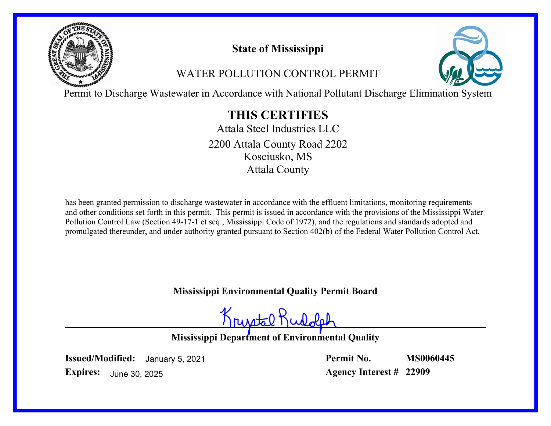

# **State of Mississippi**

# WATER POLLUTION CONTROL PERMIT



Permit to Discharge Wastewater in Accordance with National Pollutant Discharge Elimination System

# **THIS CERTIFIES**

Attala Steel Industries LLC Kosciusko, MS Attala County 2200 Attala County Road 2202

has been granted permission to discharge wastewater in accordance with the effluent limitations, monitoring requirements and other conditions set forth in this permit. This permit is issued in accordance with the provisions of the Mississippi Water Pollution Control Law (Section 49-17-1 et seq., Mississippi Code of 1972), and the regulations and standards adopted and promulgated thereunder, and under authority granted pursuant to Section 402(b) of the Federal Water Pollution Control Act.

## **Mississippi Environmental Quality Permit Board**

Krustal Rudolp

**Mississippi Department of Environmental Quality**

**Issued/Modified:** January 5, 2021

**Permit No. Agency Interest # 22909 MS0060445**

**Expires:** June 30, 2025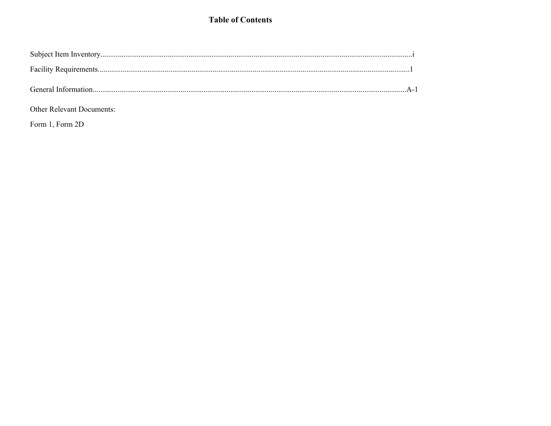### **Table of Contents**

Other Relevant Documents:

Form 1, Form 2D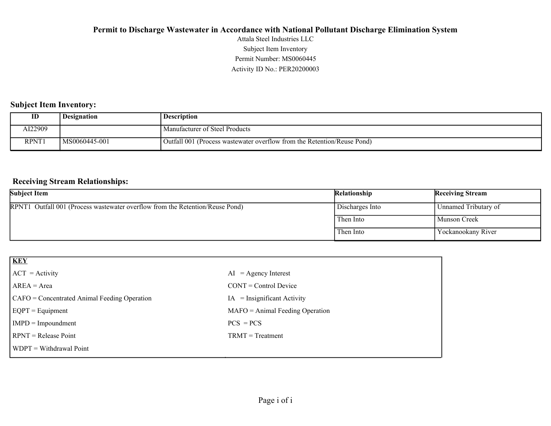Activity ID No.: PER20200003 Permit Number: MS0060445 Subject Item Inventory Attala Steel Industries LLC

#### **Subject Item Inventory:**

| ID           | <b>Designation</b> | <b>Description</b>                                                      |
|--------------|--------------------|-------------------------------------------------------------------------|
| AI22909      |                    | Manufacturer of Steel Products                                          |
| <b>RPNT1</b> | MS0060445-001      | Outfall 001 (Process wastewater overflow from the Retention/Reuse Pond) |

#### **Receiving Stream Relationships:**

| <b>Subject Item</b>                                                           | Relationship    | <b>Receiving Stream</b> |
|-------------------------------------------------------------------------------|-----------------|-------------------------|
| RPNT1 Outfall 001 (Process wastewater overflow from the Retention/Reuse Pond) | Discharges Into | Unnamed Tributary of    |
|                                                                               | Then Into       | <b>Munson Creek</b>     |
|                                                                               | Then Into       | 'Yockanookany River     |

| KEY                                          |                                   |
|----------------------------------------------|-----------------------------------|
| $ ACT = Activity$                            | $AI = Agency Interest$            |
| $AREA = Area$                                | $CONT = Control$ Device           |
| CAFO = Concentrated Animal Feeding Operation | $IA = Insignificant Activity$     |
| $EQPT = Equipment$                           | $MAFO = Animal Feeding Operation$ |
| $IMPD = Impoundment$                         | $PCS = PCs$                       |
| $RPNT = Release Point$                       | $TRMT = Treatment$                |
| WDPT = Withdrawal Point                      |                                   |
|                                              |                                   |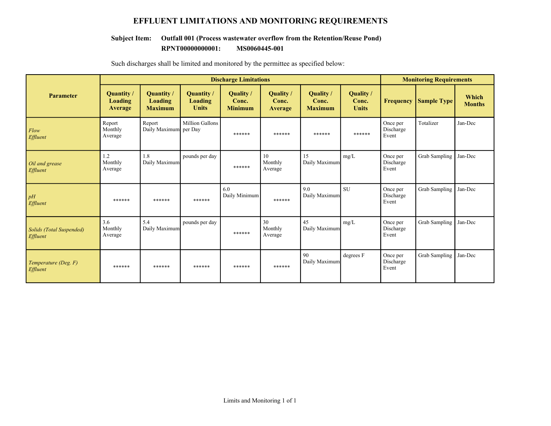#### **EFFLUENT LIMITATIONS AND MONITORING REQUIREMENTS**

#### **RPNT00000000001: MS0060445-001 Subject Item: Outfall 001 (Process wastewater overflow from the Retention/Reuse Pond)**

|                                      | <b>Discharge Limitations</b>                   |                                         |                                       |                                             |                                      |                                           | <b>Monitoring Requirements</b>            |                                |                      |                        |
|--------------------------------------|------------------------------------------------|-----------------------------------------|---------------------------------------|---------------------------------------------|--------------------------------------|-------------------------------------------|-------------------------------------------|--------------------------------|----------------------|------------------------|
| <b>Parameter</b>                     | <b>Quantity</b> /<br>Loading<br><b>Average</b> | Quantity /<br>Loading<br><b>Maximum</b> | Quantity /<br>Loading<br><b>Units</b> | <b>Quality</b> /<br>Conc.<br><b>Minimum</b> | <b>Quality</b> /<br>Conc.<br>Average | <b>Ouality</b><br>Conc.<br><b>Maximum</b> | <b>Quality</b> /<br>Conc.<br><b>Units</b> | <b>Frequency</b>               | <b>Sample Type</b>   | Which<br><b>Months</b> |
| Flow<br>Effluent                     | Report<br>Monthly<br>Average                   | Report<br>Daily Maximum                 | <b>Million Gallons</b><br>per Day     | ******                                      | ******                               | ******                                    | ******                                    | Once per<br>Discharge<br>Event | Totalizer            | Jan-Dec                |
| Oil and grease<br><b>Effluent</b>    | 1.2<br>Monthly<br>Average                      | 1.8<br>Daily Maximum                    | pounds per day                        | ******                                      | 10<br>Monthly<br>Average             | 15<br>Daily Maximum                       | mg/L                                      | Once per<br>Discharge<br>Event | Grab Sampling        | Jan-Dec                |
| pH<br>Effluent                       | ******                                         | ******                                  | ******                                | 6.0<br>Daily Minimum                        | ******                               | 9.0<br>Daily Maximum                      | <b>SU</b>                                 | Once per<br>Discharge<br>Event | Grab Sampling        | Jan-Dec                |
| Solids (Total Suspended)<br>Effluent | 3.6<br>Monthly<br>Average                      | 5.4<br>Daily Maximum                    | pounds per day                        | ******                                      | 30<br>Monthly<br>Average             | 45<br>Daily Maximum                       | mg/L                                      | Once per<br>Discharge<br>Event | Grab Sampling        | Jan-Dec                |
| Temperature (Deg. F)<br>Effluent     | ******                                         | ******                                  | ******                                | ******                                      | ******                               | 90<br>Daily Maximum                       | degrees F                                 | Once per<br>Discharge<br>Event | <b>Grab Sampling</b> | Jan-Dec                |

Such discharges shall be limited and monitored by the permittee as specified below: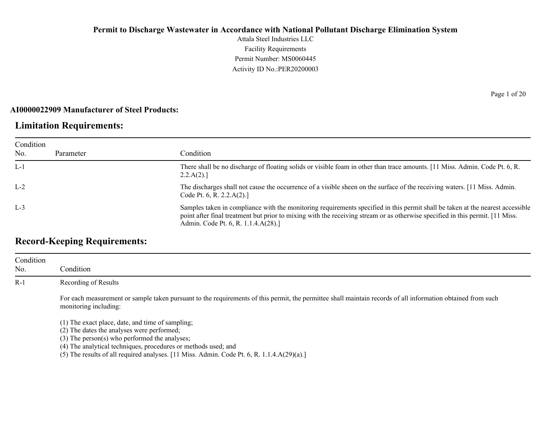Attala Steel Industries LLC Facility Requirements Permit Number: MS0060445 Activity ID No.:PER20200003

#### **AI0000022909 Manufacturer of Steel Products:**

## **Limitation Requirements:**

| Condition |           |                                                                                                                                                                                                                                                                                                         |
|-----------|-----------|---------------------------------------------------------------------------------------------------------------------------------------------------------------------------------------------------------------------------------------------------------------------------------------------------------|
| No.       | Parameter | Condition                                                                                                                                                                                                                                                                                               |
| $L-1$     |           | There shall be no discharge of floating solids or visible foam in other than trace amounts. [11 Miss. Admin. Code Pt. 6, R.<br>2.2.A(2).                                                                                                                                                                |
| $L-2$     |           | The discharges shall not cause the occurrence of a visible sheen on the surface of the receiving waters. [11 Miss. Admin.<br>Code Pt. 6, R. 2.2. $A(2)$ .]                                                                                                                                              |
| $L-3$     |           | Samples taken in compliance with the monitoring requirements specified in this permit shall be taken at the nearest accessible<br>point after final treatment but prior to mixing with the receiving stream or as otherwise specified in this permit. [11 Miss.]<br>Admin. Code Pt. 6, R. 1.1.4.A(28).] |

## **Record-Keeping Requirements:**

| Condition<br>No. | Condition                                                                                                                                                                                                              |
|------------------|------------------------------------------------------------------------------------------------------------------------------------------------------------------------------------------------------------------------|
| $R-1$            | Recording of Results                                                                                                                                                                                                   |
|                  | For each measurement or sample taken pursuant to the requirements of this permit, the permittee shall maintain records of all information obtained from such<br>monitoring including:                                  |
|                  | (1) The exact place, date, and time of sampling;<br>(2) The dates the analyses were performed;<br>$(3)$ The person $(s)$ who performed the analyses;<br>(4) The analytical techniques, procedures or methods used; and |

(5) The results of all required analyses.  $[11 \text{ Miss. } \text{Admin. } \text{Code Pt. } 6, \text{R. } 1.1.4 \cdot \text{A}(29)(a).]$ 

Page 1 of 20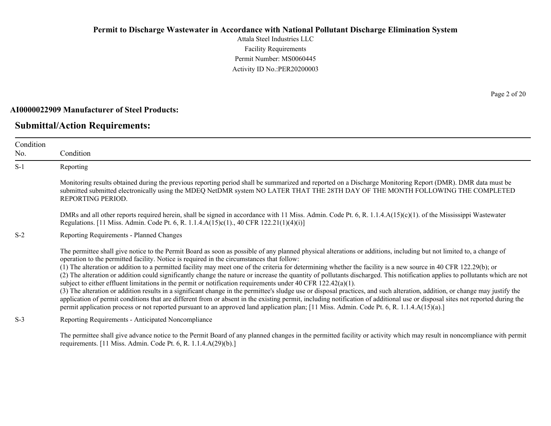Attala Steel Industries LLC Facility Requirements Permit Number: MS0060445 Activity ID No.:PER20200003

#### **AI0000022909 Manufacturer of Steel Products:**

### **Submittal/Action Requirements:**

Condition No. Condition S-1 Reporting Monitoring results obtained during the previous reporting period shall be summarized and reported on a Discharge Monitoring Report (DMR). DMR data must be submitted submitted electronically using the MDEQ NetDMR system NO LATER THAT THE 28TH DAY OF THE MONTH FOLLOWING THE COMPLETED REPORTING PERIOD. DMRs and all other reports required herein, shall be signed in accordance with 11 Miss. Admin. Code Pt. 6, R. 1.1.4.A(15)(c)(1). of the Mississippi Wastewater Regulations. [11 Miss. Admin. Code Pt. 6, R. 1.1.4.A(15)c(1)., 40 CFR 122.21(1)(4)(i)] S-2 Reporting Requirements - Planned Changes The permittee shall give notice to the Permit Board as soon as possible of any planned physical alterations or additions, including but not limited to, a change of operation to the permitted facility. Notice is required in the circumstances that follow: (1) The alteration or addition to a permitted facility may meet one of the criteria for determining whether the facility is a new source in 40 CFR 122.29(b); or (2) The alteration or addition could significantly change the nature or increase the quantity of pollutants discharged. This notification applies to pollutants which are not subject to either effluent limitations in the permit or notification requirements under 40 CFR 122.42(a)(1). (3) The alteration or addition results in a significant change in the permittee's sludge use or disposal practices, and such alteration, addition, or change may justify the application of permit conditions that are different from or absent in the existing permit, including notification of additional use or disposal sites not reported during the permit application process or not reported pursuant to an approved land application plan; [11 Miss. Admin. Code Pt. 6, R. 1.1.4.A(15)(a).] S-3 Reporting Requirements - Anticipated Noncompliance

The permittee shall give advance notice to the Permit Board of any planned changes in the permitted facility or activity which may result in noncompliance with permit requirements. [11 Miss. Admin. Code Pt. 6, R. 1.1.4.A(29)(b).]

Page 2 of 20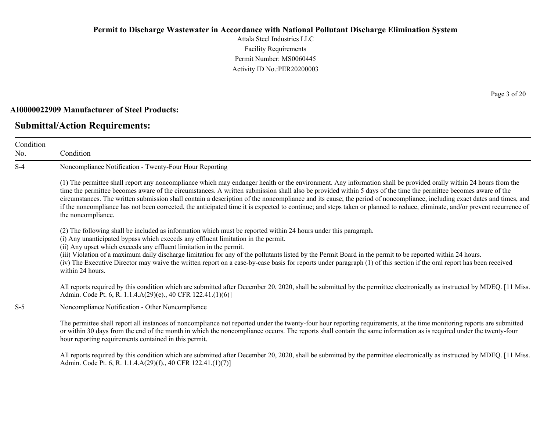Attala Steel Industries LLC Facility Requirements Permit Number: MS0060445 Activity ID No.:PER20200003

#### **AI0000022909 Manufacturer of Steel Products:**

### **Submittal/Action Requirements:**

Condition No. Condition S-4 Noncompliance Notification - Twenty-Four Hour Reporting (1) The permittee shall report any noncompliance which may endanger health or the environment. Any information shall be provided orally within 24 hours from the time the permittee becomes aware of the circumstances. A written submission shall also be provided within 5 days of the time the permittee becomes aware of the circumstances. The written submission shall contain a description of the noncompliance and its cause; the period of noncompliance, including exact dates and times, and if the noncompliance has not been corrected, the anticipated time it is expected to continue; and steps taken or planned to reduce, eliminate, and/or prevent recurrence of the noncompliance. (2) The following shall be included as information which must be reported within 24 hours under this paragraph. (i) Any unanticipated bypass which exceeds any effluent limitation in the permit. (ii) Any upset which exceeds any effluent limitation in the permit. (iii) Violation of a maximum daily discharge limitation for any of the pollutants listed by the Permit Board in the permit to be reported within 24 hours. (iv) The Executive Director may waive the written report on a case-by-case basis for reports under paragraph (1) of this section if the oral report has been received within 24 hours. All reports required by this condition which are submitted after December 20, 2020, shall be submitted by the permittee electronically as instructed by MDEQ. [11 Miss. Admin. Code Pt. 6, R. 1.1.4.A(29)(e)., 40 CFR 122.41.(1)(6)] S-5 Noncompliance Notification - Other Noncompliance The permittee shall report all instances of noncompliance not reported under the twenty-four hour reporting requirements, at the time monitoring reports are submitted or within 30 days from the end of the month in which the noncompliance occurs. The reports shall contain the same information as is required under the twenty-four hour reporting requirements contained in this permit.

All reports required by this condition which are submitted after December 20, 2020, shall be submitted by the permittee electronically as instructed by MDEQ. [11 Miss.] Admin. Code Pt. 6, R. 1.1.4.A(29)(f)., 40 CFR 122.41.(1)(7)]

Page 3 of 20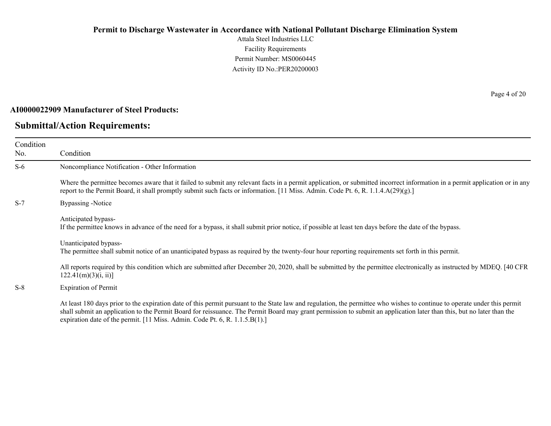Attala Steel Industries LLC Facility Requirements Permit Number: MS0060445 Activity ID No.:PER20200003

#### **AI0000022909 Manufacturer of Steel Products:**

## **Submittal/Action Requirements:**

Page 4 of 20

| Condition<br>No. | Condition                                                                                                                                                                                                                                                                                                                                                                                                                         |
|------------------|-----------------------------------------------------------------------------------------------------------------------------------------------------------------------------------------------------------------------------------------------------------------------------------------------------------------------------------------------------------------------------------------------------------------------------------|
| $S-6$            | Noncompliance Notification - Other Information                                                                                                                                                                                                                                                                                                                                                                                    |
|                  | Where the permittee becomes aware that it failed to submit any relevant facts in a permit application, or submitted incorrect information in a permit application or in any<br>report to the Permit Board, it shall promptly submit such facts or information. [11 Miss. Admin. Code Pt. 6, R. 1.1.4. $A(29)(g)$ .]                                                                                                               |
| $S-7$            | Bypassing -Notice                                                                                                                                                                                                                                                                                                                                                                                                                 |
|                  | Anticipated bypass-<br>If the permittee knows in advance of the need for a bypass, it shall submit prior notice, if possible at least ten days before the date of the bypass.                                                                                                                                                                                                                                                     |
|                  | Unanticipated bypass-<br>The permittee shall submit notice of an unanticipated bypass as required by the twenty-four hour reporting requirements set forth in this permit.                                                                                                                                                                                                                                                        |
|                  | All reports required by this condition which are submitted after December 20, 2020, shall be submitted by the permittee electronically as instructed by MDEQ. [40 CFR<br>122.41(m)(3)(i, ii)                                                                                                                                                                                                                                      |
| $S-8$            | <b>Expiration of Permit</b>                                                                                                                                                                                                                                                                                                                                                                                                       |
|                  | At least 180 days prior to the expiration date of this permit pursuant to the State law and regulation, the permittee who wishes to continue to operate under this permit<br>shall submit an application to the Permit Board for reissuance. The Permit Board may grant permission to submit an application later than this, but no later than the<br>expiration date of the permit. [11 Miss. Admin. Code Pt. 6, R. 1.1.5.B(1).] |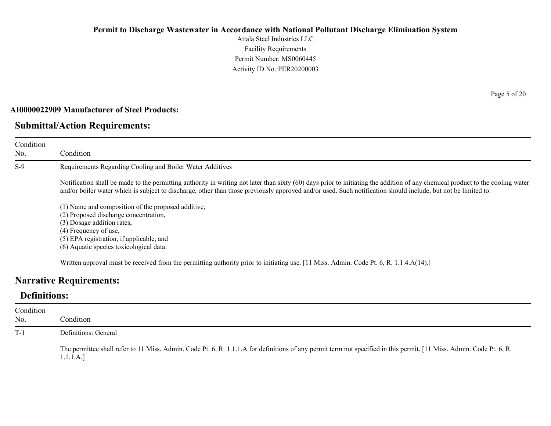Attala Steel Industries LLC Facility Requirements Permit Number: MS0060445 Activity ID No.:PER20200003

#### **AI0000022909 Manufacturer of Steel Products:**

### **Submittal/Action Requirements:**

Condition No. Condition S-9 Requirements Regarding Cooling and Boiler Water Additives Notification shall be made to the permitting authority in writing not later than sixty (60) days prior to initiating the addition of any chemical product to the cooling water and/or boiler water which is subject to discharge, other than those previously approved and/or used. Such notification should include, but not be limited to: (1) Name and composition of the proposed additive, (2) Proposed discharge concentration, (3) Dosage addition rates,

(4) Frequency of use,

(5) EPA registration, if applicable, and

(6) Aquatic species toxicological data.

Written approval must be received from the permitting authority prior to initiating use. [11 Miss. Admin. Code Pt. 6, R. 1.1.4.A(14).]

### **Narrative Requirements:**

## **Definitions:**

| Condition<br>No. | Condition                                                                                                                                                                         |
|------------------|-----------------------------------------------------------------------------------------------------------------------------------------------------------------------------------|
| $T-1$            | Definitions: General                                                                                                                                                              |
|                  | The permittee shall refer to 11 Miss. Admin. Code Pt. 6, R. 1.1.1.A for definitions of any permit term not specified in this permit. [11 Miss. Admin. Code Pt. 6, R.<br>1.1.1.A.] |

Page 5 of 20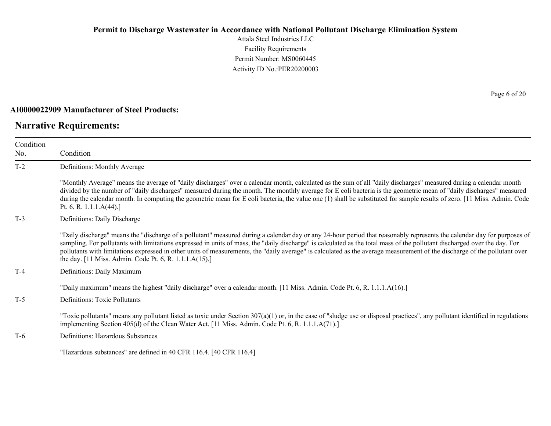Attala Steel Industries LLC Facility Requirements Permit Number: MS0060445 Activity ID No.:PER20200003

#### **AI0000022909 Manufacturer of Steel Products:**

## **Narrative Requirements:**

Page 6 of 20

| Condition<br>No. | Condition                                                                                                                                                                                                                                                                                                                                                                                                                                                                                                                                                                                   |
|------------------|---------------------------------------------------------------------------------------------------------------------------------------------------------------------------------------------------------------------------------------------------------------------------------------------------------------------------------------------------------------------------------------------------------------------------------------------------------------------------------------------------------------------------------------------------------------------------------------------|
| $T-2$            | Definitions: Monthly Average                                                                                                                                                                                                                                                                                                                                                                                                                                                                                                                                                                |
|                  | "Monthly Average" means the average of "daily discharges" over a calendar month, calculated as the sum of all "daily discharges" measured during a calendar month<br>divided by the number of "daily discharges" measured during the month. The monthly average for E coli bacteria is the geometric mean of "daily discharges" measured<br>during the calendar month. In computing the geometric mean for E coli bacteria, the value one (1) shall be substituted for sample results of zero. [11 Miss. Admin. Code<br>Pt. 6, R. 1.1.1. $A(44)$ .]                                         |
| $T-3$            | Definitions: Daily Discharge                                                                                                                                                                                                                                                                                                                                                                                                                                                                                                                                                                |
|                  | "Daily discharge" means the "discharge of a pollutant" measured during a calendar day or any 24-hour period that reasonably represents the calendar day for purposes of<br>sampling. For pollutants with limitations expressed in units of mass, the "daily discharge" is calculated as the total mass of the pollutant discharged over the day. For<br>pollutants with limitations expressed in other units of measurements, the "daily average" is calculated as the average measurement of the discharge of the pollutant over<br>the day. [11 Miss. Admin. Code Pt. 6, R. 1.1.1.A(15).] |
| $T-4$            | Definitions: Daily Maximum                                                                                                                                                                                                                                                                                                                                                                                                                                                                                                                                                                  |
|                  | "Daily maximum" means the highest "daily discharge" over a calendar month. [11 Miss. Admin. Code Pt. 6, R. 1.1.1.A(16).]                                                                                                                                                                                                                                                                                                                                                                                                                                                                    |
| $T-5$            | Definitions: Toxic Pollutants                                                                                                                                                                                                                                                                                                                                                                                                                                                                                                                                                               |
|                  | "Toxic pollutants" means any pollutant listed as toxic under Section $307(a)(1)$ or, in the case of "sludge use or disposal practices", any pollutant identified in regulations<br>implementing Section 405(d) of the Clean Water Act. [11 Miss. Admin. Code Pt. 6, R. 1.1.1.A(71).]                                                                                                                                                                                                                                                                                                        |
| $T-6$            | Definitions: Hazardous Substances                                                                                                                                                                                                                                                                                                                                                                                                                                                                                                                                                           |
|                  | "Hazardous substances" are defined in 40 CFR 116.4. [40 CFR 116.4]                                                                                                                                                                                                                                                                                                                                                                                                                                                                                                                          |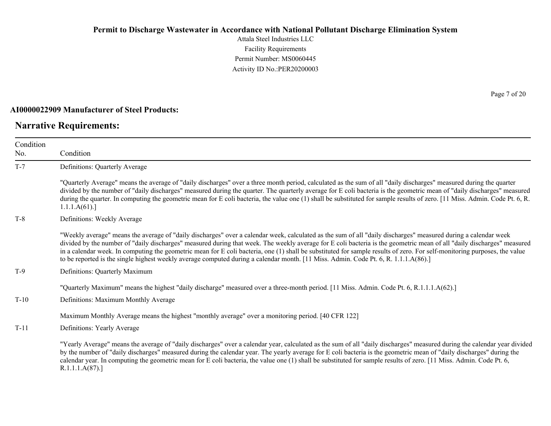Attala Steel Industries LLC Facility Requirements Permit Number: MS0060445 Activity ID No.:PER20200003

#### **AI0000022909 Manufacturer of Steel Products:**

## **Narrative Requirements:**

Page 7 of 20

| Condition |                                                                                                                                                                                                                                                                                                                                                                                                                                                                                                                                                                                                                                                              |
|-----------|--------------------------------------------------------------------------------------------------------------------------------------------------------------------------------------------------------------------------------------------------------------------------------------------------------------------------------------------------------------------------------------------------------------------------------------------------------------------------------------------------------------------------------------------------------------------------------------------------------------------------------------------------------------|
| No.       | Condition                                                                                                                                                                                                                                                                                                                                                                                                                                                                                                                                                                                                                                                    |
| $T-7$     | Definitions: Quarterly Average                                                                                                                                                                                                                                                                                                                                                                                                                                                                                                                                                                                                                               |
|           | "Quarterly Average" means the average of "daily discharges" over a three month period, calculated as the sum of all "daily discharges" measured during the quarter<br>divided by the number of "daily discharges" measured during the quarter. The quarterly average for E coli bacteria is the geometric mean of "daily discharges" measured<br>during the quarter. In computing the geometric mean for E coli bacteria, the value one (1) shall be substituted for sample results of zero. [11 Miss. Admin. Code Pt. 6, R.<br>1.1.1.A(61).                                                                                                                 |
| $T-8$     | Definitions: Weekly Average                                                                                                                                                                                                                                                                                                                                                                                                                                                                                                                                                                                                                                  |
|           | "Weekly average" means the average of "daily discharges" over a calendar week, calculated as the sum of all "daily discharges" measured during a calendar week<br>divided by the number of "daily discharges" measured during that week. The weekly average for E coli bacteria is the geometric mean of all "daily discharges" measured<br>in a calendar week. In computing the geometric mean for E coli bacteria, one (1) shall be substituted for sample results of zero. For self-monitoring purposes, the value<br>to be reported is the single highest weekly average computed during a calendar month. [11 Miss. Admin. Code Pt. 6, R. 1.1.1.A(86).] |
| $T-9$     | Definitions: Quarterly Maximum                                                                                                                                                                                                                                                                                                                                                                                                                                                                                                                                                                                                                               |
|           | "Quarterly Maximum" means the highest "daily discharge" measured over a three-month period. [11 Miss. Admin. Code Pt. 6, R.1.1.1.A(62).]                                                                                                                                                                                                                                                                                                                                                                                                                                                                                                                     |
| $T-10$    | Definitions: Maximum Monthly Average                                                                                                                                                                                                                                                                                                                                                                                                                                                                                                                                                                                                                         |
|           | Maximum Monthly Average means the highest "monthly average" over a monitoring period. [40 CFR 122]                                                                                                                                                                                                                                                                                                                                                                                                                                                                                                                                                           |
| $T-11$    | Definitions: Yearly Average                                                                                                                                                                                                                                                                                                                                                                                                                                                                                                                                                                                                                                  |
|           | "Yearly Average" means the average of "daily discharges" over a calendar year, calculated as the sum of all "daily discharges" measured during the calendar year divided<br>by the number of "daily discharges" measured during the calendar year. The yearly average for E coli bacteria is the geometric mean of "daily discharges" during the<br>calendar year. In computing the geometric mean for E coli bacteria, the value one (1) shall be substituted for sample results of zero. [11 Miss. Admin. Code Pt. 6,<br>R.1.1.1.A(87).                                                                                                                    |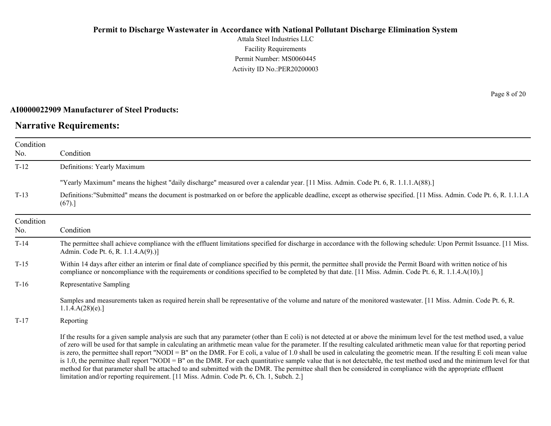Attala Steel Industries LLC Facility Requirements Permit Number: MS0060445 Activity ID No.:PER20200003

#### **AI0000022909 Manufacturer of Steel Products:**

## **Narrative Requirements:**

Page 8 of 20

| Condition<br>No. | Condition                                                                                                                                                                                                                                                                                                                                                                                                                                                                                                                                                                                                                                                                                                                                                                                                                                                                                                                                                                      |
|------------------|--------------------------------------------------------------------------------------------------------------------------------------------------------------------------------------------------------------------------------------------------------------------------------------------------------------------------------------------------------------------------------------------------------------------------------------------------------------------------------------------------------------------------------------------------------------------------------------------------------------------------------------------------------------------------------------------------------------------------------------------------------------------------------------------------------------------------------------------------------------------------------------------------------------------------------------------------------------------------------|
| $T-12$           | Definitions: Yearly Maximum                                                                                                                                                                                                                                                                                                                                                                                                                                                                                                                                                                                                                                                                                                                                                                                                                                                                                                                                                    |
|                  | "Yearly Maximum" means the highest "daily discharge" measured over a calendar year. [11 Miss. Admin. Code Pt. 6, R. 1.1.1.A(88).]                                                                                                                                                                                                                                                                                                                                                                                                                                                                                                                                                                                                                                                                                                                                                                                                                                              |
| $T-13$           | Definitions:"Submitted" means the document is postmarked on or before the applicable deadline, except as otherwise specified. [11 Miss. Admin. Code Pt. 6, R. 1.1.1.A<br>(67).]                                                                                                                                                                                                                                                                                                                                                                                                                                                                                                                                                                                                                                                                                                                                                                                                |
| Condition<br>No. | Condition                                                                                                                                                                                                                                                                                                                                                                                                                                                                                                                                                                                                                                                                                                                                                                                                                                                                                                                                                                      |
| $T-14$           | The permittee shall achieve compliance with the effluent limitations specified for discharge in accordance with the following schedule: Upon Permit Issuance. [11 Miss.]<br>Admin. Code Pt. 6, R. 1.1.4.A(9).)]                                                                                                                                                                                                                                                                                                                                                                                                                                                                                                                                                                                                                                                                                                                                                                |
| $T-15$           | Within 14 days after either an interim or final date of compliance specified by this permit, the permittee shall provide the Permit Board with written notice of his<br>compliance or noncompliance with the requirements or conditions specified to be completed by that date. [11 Miss. Admin. Code Pt. 6, R. 1.1.4.A(10).]                                                                                                                                                                                                                                                                                                                                                                                                                                                                                                                                                                                                                                                  |
| $T-16$           | Representative Sampling                                                                                                                                                                                                                                                                                                                                                                                                                                                                                                                                                                                                                                                                                                                                                                                                                                                                                                                                                        |
|                  | Samples and measurements taken as required herein shall be representative of the volume and nature of the monitored wastewater. [11 Miss. Admin. Code Pt. 6, R.<br>1.1.4.A(28)(e).                                                                                                                                                                                                                                                                                                                                                                                                                                                                                                                                                                                                                                                                                                                                                                                             |
| $T-17$           | Reporting                                                                                                                                                                                                                                                                                                                                                                                                                                                                                                                                                                                                                                                                                                                                                                                                                                                                                                                                                                      |
|                  | If the results for a given sample analysis are such that any parameter (other than E coli) is not detected at or above the minimum level for the test method used, a value<br>of zero will be used for that sample in calculating an arithmetic mean value for the parameter. If the resulting calculated arithmetic mean value for that reporting period<br>is zero, the permittee shall report "NODI = B" on the DMR. For E coli, a value of 1.0 shall be used in calculating the geometric mean. If the resulting E coli mean value<br>is 1.0, the permittee shall report "NODI = B" on the DMR. For each quantitative sample value that is not detectable, the test method used and the minimum level for that<br>method for that parameter shall be attached to and submitted with the DMR. The permittee shall then be considered in compliance with the appropriate effluent<br>limitation and/or reporting requirement. [11 Miss. Admin. Code Pt. 6, Ch. 1, Subch. 2.] |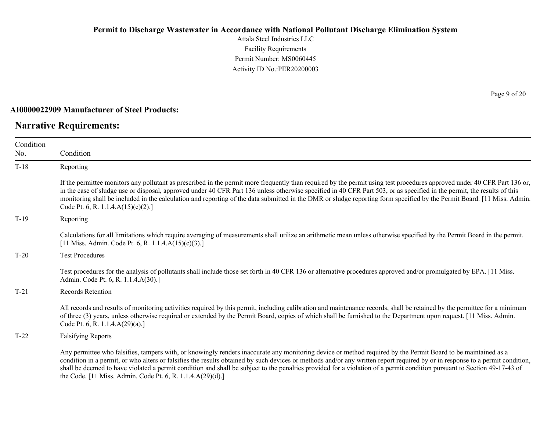Attala Steel Industries LLC Facility Requirements Permit Number: MS0060445 Activity ID No.:PER20200003

#### **AI0000022909 Manufacturer of Steel Products:**

## **Narrative Requirements:**

Page 9 of 20

| Condition |                                                                                                                                                                                                                                                                                                                                                                                                                                                                                                                                                                          |
|-----------|--------------------------------------------------------------------------------------------------------------------------------------------------------------------------------------------------------------------------------------------------------------------------------------------------------------------------------------------------------------------------------------------------------------------------------------------------------------------------------------------------------------------------------------------------------------------------|
| No.       | Condition                                                                                                                                                                                                                                                                                                                                                                                                                                                                                                                                                                |
| $T-18$    | Reporting                                                                                                                                                                                                                                                                                                                                                                                                                                                                                                                                                                |
|           | If the permittee monitors any pollutant as prescribed in the permit more frequently than required by the permit using test procedures approved under 40 CFR Part 136 or,<br>in the case of sludge use or disposal, approved under 40 CFR Part 136 unless otherwise specified in 40 CFR Part 503, or as specified in the permit, the results of this<br>monitoring shall be included in the calculation and reporting of the data submitted in the DMR or sludge reporting form specified by the Permit Board. [11 Miss. Admin.<br>Code Pt. 6, R. 1.1.4. $A(15)(c)(2)$ .] |
| $T-19$    | Reporting                                                                                                                                                                                                                                                                                                                                                                                                                                                                                                                                                                |
|           | Calculations for all limitations which require averaging of measurements shall utilize an arithmetic mean unless otherwise specified by the Permit Board in the permit.<br>[11 Miss. Admin. Code Pt. 6, R. 1.1.4.A(15)(c)(3).]                                                                                                                                                                                                                                                                                                                                           |
| $T-20$    | <b>Test Procedures</b>                                                                                                                                                                                                                                                                                                                                                                                                                                                                                                                                                   |
|           | Test procedures for the analysis of pollutants shall include those set forth in 40 CFR 136 or alternative procedures approved and/or promulgated by EPA. [11 Miss.]<br>Admin. Code Pt. 6, R. 1.1.4.A(30).]                                                                                                                                                                                                                                                                                                                                                               |
| $T-21$    | <b>Records Retention</b>                                                                                                                                                                                                                                                                                                                                                                                                                                                                                                                                                 |
|           | All records and results of monitoring activities required by this permit, including calibration and maintenance records, shall be retained by the permittee for a minimum<br>of three (3) years, unless otherwise required or extended by the Permit Board, copies of which shall be furnished to the Department upon request. [11 Miss. Admin.<br>Code Pt. 6, R. 1.1.4. $A(29)(a)$ .]                                                                                                                                                                                   |
| $T-22$    | <b>Falsifying Reports</b>                                                                                                                                                                                                                                                                                                                                                                                                                                                                                                                                                |
|           | Any permittee who falsifies, tampers with, or knowingly renders inaccurate any monitoring device or method required by the Permit Board to be maintained as a<br>condition in a permit, or who alters or falsifies the results obtained by such devices or methods and/or any written report required by or in response to a permit condition,<br>shall be deemed to have violated a permit condition and shall be subject to the penalties provided for a violation of a permit condition pursuant to Section 49-17-43 of                                               |

the Code. [11 Miss. Admin. Code Pt. 6, R. 1.1.4.A(29)(d).]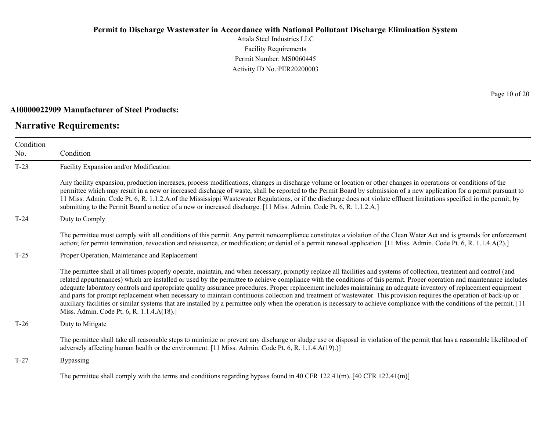Attala Steel Industries LLC Facility Requirements Permit Number: MS0060445 Activity ID No.:PER20200003

#### **AI0000022909 Manufacturer of Steel Products:**

## **Narrative Requirements:**

Page 10 of 20

| Condition<br>No. | Condition                                                                                                                                                                                                                                                                                                                                                                                                                                                                                                                                                                                                                                                                                                                                                                                                                                                                                                                 |
|------------------|---------------------------------------------------------------------------------------------------------------------------------------------------------------------------------------------------------------------------------------------------------------------------------------------------------------------------------------------------------------------------------------------------------------------------------------------------------------------------------------------------------------------------------------------------------------------------------------------------------------------------------------------------------------------------------------------------------------------------------------------------------------------------------------------------------------------------------------------------------------------------------------------------------------------------|
| $T-23$           | Facility Expansion and/or Modification                                                                                                                                                                                                                                                                                                                                                                                                                                                                                                                                                                                                                                                                                                                                                                                                                                                                                    |
|                  | Any facility expansion, production increases, process modifications, changes in discharge volume or location or other changes in operations or conditions of the<br>permittee which may result in a new or increased discharge of waste, shall be reported to the Permit Board by submission of a new application for a permit pursuant to<br>11 Miss. Admin. Code Pt. 6, R. 1.1.2.A.of the Mississippi Wastewater Regulations, or if the discharge does not violate effluent limitations specified in the permit, by<br>submitting to the Permit Board a notice of a new or increased discharge. [11 Miss. Admin. Code Pt. 6, R. 1.1.2.A.]                                                                                                                                                                                                                                                                               |
| $T-24$           | Duty to Comply                                                                                                                                                                                                                                                                                                                                                                                                                                                                                                                                                                                                                                                                                                                                                                                                                                                                                                            |
|                  | The permittee must comply with all conditions of this permit. Any permit noncompliance constitutes a violation of the Clean Water Act and is grounds for enforcement<br>action; for permit termination, revocation and reissuance, or modification; or denial of a permit renewal application. [11 Miss. Admin. Code Pt. 6, R. 1.1.4.A(2).]                                                                                                                                                                                                                                                                                                                                                                                                                                                                                                                                                                               |
| $T-25$           | Proper Operation, Maintenance and Replacement                                                                                                                                                                                                                                                                                                                                                                                                                                                                                                                                                                                                                                                                                                                                                                                                                                                                             |
|                  | The permittee shall at all times properly operate, maintain, and when necessary, promptly replace all facilities and systems of collection, treatment and control (and<br>related appurtenances) which are installed or used by the permittee to achieve compliance with the conditions of this permit. Proper operation and maintenance includes<br>adequate laboratory controls and appropriate quality assurance procedures. Proper replacement includes maintaining an adequate inventory of replacement equipment<br>and parts for prompt replacement when necessary to maintain continuous collection and treatment of wastewater. This provision requires the operation of back-up or<br>auxiliary facilities or similar systems that are installed by a permittee only when the operation is necessary to achieve compliance with the conditions of the permit. [11]<br>Miss. Admin. Code Pt. 6, R. 1.1.4.A(18).] |
| $T-26$           | Duty to Mitigate                                                                                                                                                                                                                                                                                                                                                                                                                                                                                                                                                                                                                                                                                                                                                                                                                                                                                                          |
|                  | The permittee shall take all reasonable steps to minimize or prevent any discharge or sludge use or disposal in violation of the permit that has a reasonable likelihood of<br>adversely affecting human health or the environment. [11 Miss. Admin. Code Pt. 6, R. 1.1.4.A(19).)]                                                                                                                                                                                                                                                                                                                                                                                                                                                                                                                                                                                                                                        |
| $T-27$           | <b>Bypassing</b>                                                                                                                                                                                                                                                                                                                                                                                                                                                                                                                                                                                                                                                                                                                                                                                                                                                                                                          |
|                  | The permittee shall comply with the terms and conditions regarding bypass found in 40 CFR 122.41(m). [40 CFR 122.41(m)]                                                                                                                                                                                                                                                                                                                                                                                                                                                                                                                                                                                                                                                                                                                                                                                                   |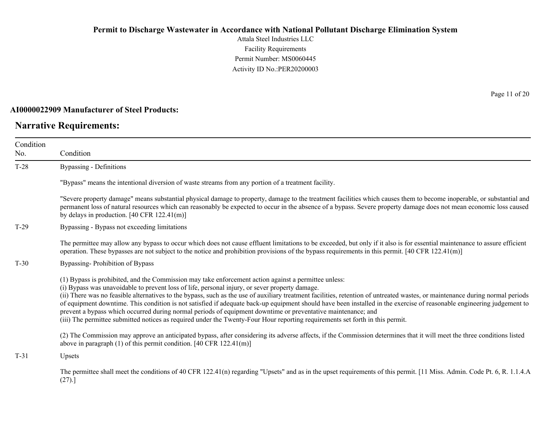Attala Steel Industries LLC Facility Requirements Permit Number: MS0060445 Activity ID No.:PER20200003

#### **AI0000022909 Manufacturer of Steel Products:**

## **Narrative Requirements:**

Page 11 of 20

| Condition<br>No. | Condition                                                                                                                                                                                                                                                                                                                                                                                                                                                                                                                                                                                                                                                                                                                                                                                                          |  |  |
|------------------|--------------------------------------------------------------------------------------------------------------------------------------------------------------------------------------------------------------------------------------------------------------------------------------------------------------------------------------------------------------------------------------------------------------------------------------------------------------------------------------------------------------------------------------------------------------------------------------------------------------------------------------------------------------------------------------------------------------------------------------------------------------------------------------------------------------------|--|--|
|                  |                                                                                                                                                                                                                                                                                                                                                                                                                                                                                                                                                                                                                                                                                                                                                                                                                    |  |  |
| $T-28$           | Bypassing - Definitions                                                                                                                                                                                                                                                                                                                                                                                                                                                                                                                                                                                                                                                                                                                                                                                            |  |  |
|                  | "Bypass" means the intentional diversion of waste streams from any portion of a treatment facility.                                                                                                                                                                                                                                                                                                                                                                                                                                                                                                                                                                                                                                                                                                                |  |  |
|                  | "Severe property damage" means substantial physical damage to property, damage to the treatment facilities which causes them to become inoperable, or substantial and<br>permanent loss of natural resources which can reasonably be expected to occur in the absence of a bypass. Severe property damage does not mean economic loss caused<br>by delays in production. $[40 \text{ CFR } 122.41 \text{ (m)}]$                                                                                                                                                                                                                                                                                                                                                                                                    |  |  |
| $T-29$           | Bypassing - Bypass not exceeding limitations                                                                                                                                                                                                                                                                                                                                                                                                                                                                                                                                                                                                                                                                                                                                                                       |  |  |
|                  | The permittee may allow any bypass to occur which does not cause effluent limitations to be exceeded, but only if it also is for essential maintenance to assure efficient<br>operation. These bypasses are not subject to the notice and prohibition provisions of the bypass requirements in this permit. $[40 \text{ CFR } 122.41 \text{ (m)}]$                                                                                                                                                                                                                                                                                                                                                                                                                                                                 |  |  |
| $T-30$           | Bypassing-Prohibition of Bypass                                                                                                                                                                                                                                                                                                                                                                                                                                                                                                                                                                                                                                                                                                                                                                                    |  |  |
|                  | (1) Bypass is prohibited, and the Commission may take enforcement action against a permittee unless:<br>(i) Bypass was unavoidable to prevent loss of life, personal injury, or sever property damage.<br>(ii) There was no feasible alternatives to the bypass, such as the use of auxiliary treatment facilities, retention of untreated wastes, or maintenance during normal periods<br>of equipment downtime. This condition is not satisfied if adequate back-up equipment should have been installed in the exercise of reasonable engineering judgement to<br>prevent a bypass which occurred during normal periods of equipment downtime or preventative maintenance; and<br>(iii) The permittee submitted notices as required under the Twenty-Four Hour reporting requirements set forth in this permit. |  |  |
|                  | (2) The Commission may approve an anticipated bypass, after considering its adverse affects, if the Commission determines that it will meet the three conditions listed<br>above in paragraph $(1)$ of this permit condition. [40 CFR 122.41(m)]                                                                                                                                                                                                                                                                                                                                                                                                                                                                                                                                                                   |  |  |
| $T-31$           | Upsets                                                                                                                                                                                                                                                                                                                                                                                                                                                                                                                                                                                                                                                                                                                                                                                                             |  |  |
|                  | The permittee shall meet the conditions of 40 CFR 122.41(n) regarding "Upsets" and as in the upset requirements of this permit. [11 Miss. Admin. Code Pt. 6, R. 1.1.4.A<br>(27).                                                                                                                                                                                                                                                                                                                                                                                                                                                                                                                                                                                                                                   |  |  |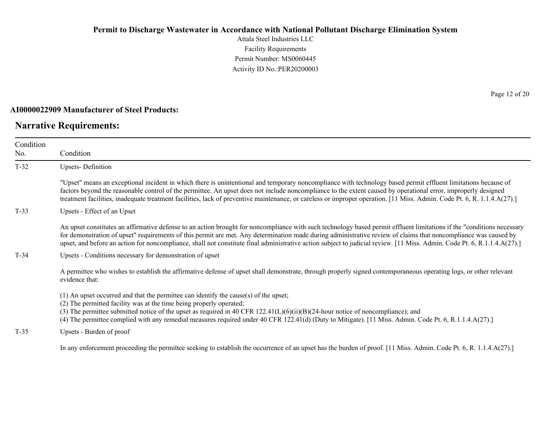Attala Steel Industries LLC Facility Requirements Permit Number: MS0060445 Activity ID No.:PER20200003

#### **AI0000022909 Manufacturer of Steel Products:**

## **Narrative Requirements:**

Page 12 of 20

| Condition<br>No. | Condition                                                                                                                                                                                                                                                                                                                                                                                                                                                                                                             |  |  |
|------------------|-----------------------------------------------------------------------------------------------------------------------------------------------------------------------------------------------------------------------------------------------------------------------------------------------------------------------------------------------------------------------------------------------------------------------------------------------------------------------------------------------------------------------|--|--|
| $T-32$           | <b>Upsets-Definition</b>                                                                                                                                                                                                                                                                                                                                                                                                                                                                                              |  |  |
|                  | "Upset" means an exceptional incident in which there is unintentional and temporary noncompliance with technology based permit effluent limitations because of<br>factors beyond the reasonable control of the permittee. An upset does not include noncompliance to the extent caused by operational error, improperly designed<br>treatment facilities, inadequate treatment facilities, lack of preventive maintenance, or careless or improper operation. [11 Miss. Admin. Code Pt. 6, R. 1.1.4.A(27).]           |  |  |
| $T-33$           | Upsets - Effect of an Upset                                                                                                                                                                                                                                                                                                                                                                                                                                                                                           |  |  |
|                  | An upset constitutes an affirmative defense to an action brought for noncompliance with such technology based permit effluent limitations if the "conditions necessary<br>for demonstration of upset" requirements of this permit are met. Any determination made during administrative review of claims that noncompliance was caused by<br>upset, and before an action for noncompliance, shall not constitute final administrative action subject to judicial review. [11 Miss. Admin. Code Pt. 6, R.1.1.4.A(27).] |  |  |
| $T-34$           | Upsets - Conditions necessary for demonstration of upset                                                                                                                                                                                                                                                                                                                                                                                                                                                              |  |  |
|                  | A permittee who wishes to establish the affirmative defense of upset shall demonstrate, through properly signed contemporaneous operating logs, or other relevant<br>evidence that:                                                                                                                                                                                                                                                                                                                                   |  |  |
|                  | $(1)$ An upset occurred and that the permittee can identify the cause(s) of the upset;<br>(2) The permitted facility was at the time being properly operated;<br>(3) The permittee submitted notice of the upset as required in 40 CFR $122.41(L)(6)(ii)(B)(24-hour notice of noncompliance)$ ; and<br>(4) The permittee complied with any remedial measures required under 40 CFR 122.41(d) (Duty to Mitigate). [11 Miss. Admin. Code Pt. 6, R.1.1.4.A(27).]                                                         |  |  |
| $T-35$           | Upsets - Burden of proof                                                                                                                                                                                                                                                                                                                                                                                                                                                                                              |  |  |
|                  | In any enforcement proceeding the permittee seeking to establish the occurrence of an upset has the burden of proof. [11 Miss. Admin. Code Pt. 6, R. 1.1.4.A(27).]                                                                                                                                                                                                                                                                                                                                                    |  |  |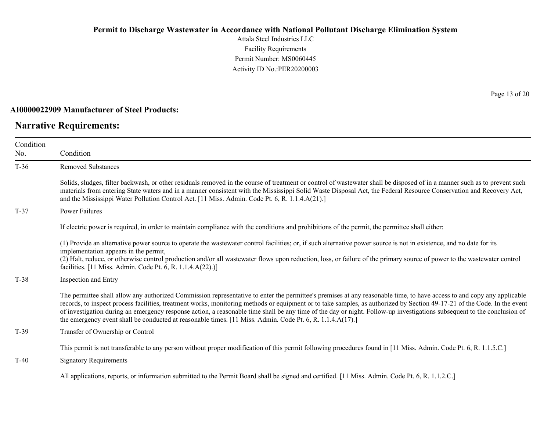Attala Steel Industries LLC Facility Requirements Permit Number: MS0060445 Activity ID No.:PER20200003

#### **AI0000022909 Manufacturer of Steel Products:**

## **Narrative Requirements:**

Page 13 of 20

| Condition<br>No. | Condition                                                                                                                                                                                                                                                                                                                                                                                                                                                                                                                                                                                                                                  |
|------------------|--------------------------------------------------------------------------------------------------------------------------------------------------------------------------------------------------------------------------------------------------------------------------------------------------------------------------------------------------------------------------------------------------------------------------------------------------------------------------------------------------------------------------------------------------------------------------------------------------------------------------------------------|
| $T-36$           | <b>Removed Substances</b>                                                                                                                                                                                                                                                                                                                                                                                                                                                                                                                                                                                                                  |
|                  | Solids, sludges, filter backwash, or other residuals removed in the course of treatment or control of wastewater shall be disposed of in a manner such as to prevent such<br>materials from entering State waters and in a manner consistent with the Mississippi Solid Waste Disposal Act, the Federal Resource Conservation and Recovery Act,<br>and the Mississippi Water Pollution Control Act. [11 Miss. Admin. Code Pt. 6, R. 1.1.4.A(21).]                                                                                                                                                                                          |
| $T-37$           | <b>Power Failures</b>                                                                                                                                                                                                                                                                                                                                                                                                                                                                                                                                                                                                                      |
|                  | If electric power is required, in order to maintain compliance with the conditions and prohibitions of the permit, the permittee shall either:                                                                                                                                                                                                                                                                                                                                                                                                                                                                                             |
|                  | (1) Provide an alternative power source to operate the wastewater control facilities; or, if such alternative power source is not in existence, and no date for its<br>implementation appears in the permit,<br>(2) Halt, reduce, or otherwise control production and/or all wastewater flows upon reduction, loss, or failure of the primary source of power to the wastewater control<br>facilities. [11 Miss. Admin. Code Pt. 6, R. 1.1.4.A(22).)]                                                                                                                                                                                      |
| $T-38$           | Inspection and Entry                                                                                                                                                                                                                                                                                                                                                                                                                                                                                                                                                                                                                       |
|                  | The permittee shall allow any authorized Commission representative to enter the permittee's premises at any reasonable time, to have access to and copy any applicable<br>records, to inspect process facilities, treatment works, monitoring methods or equipment or to take samples, as authorized by Section 49-17-21 of the Code. In the event<br>of investigation during an emergency response action, a reasonable time shall be any time of the day or night. Follow-up investigations subsequent to the conclusion of<br>the emergency event shall be conducted at reasonable times. [11 Miss. Admin. Code Pt. 6, R. 1.1.4.A(17).] |
| $T-39$           | Transfer of Ownership or Control                                                                                                                                                                                                                                                                                                                                                                                                                                                                                                                                                                                                           |
|                  | This permit is not transferable to any person without proper modification of this permit following procedures found in [11 Miss. Admin. Code Pt. 6, R. 1.1.5.C.]                                                                                                                                                                                                                                                                                                                                                                                                                                                                           |
| $T-40$           | <b>Signatory Requirements</b>                                                                                                                                                                                                                                                                                                                                                                                                                                                                                                                                                                                                              |
|                  | All applications, reports, or information submitted to the Permit Board shall be signed and certified. [11 Miss. Admin. Code Pt. 6, R. 1.1.2.C.]                                                                                                                                                                                                                                                                                                                                                                                                                                                                                           |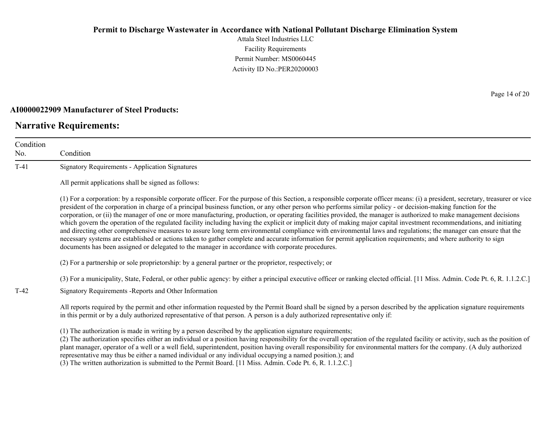Attala Steel Industries LLC Facility Requirements Permit Number: MS0060445 Activity ID No.:PER20200003

#### **AI0000022909 Manufacturer of Steel Products:**

### **Narrative Requirements:**

No.

Condition Condition T-41 Signatory Requirements - Application Signatures All permit applications shall be signed as follows: (1) For a corporation: by a responsible corporate officer. For the purpose of this Section, a responsible corporate officer means: (i) a president, secretary, treasurer or vice president of the corporation in charge of a principal business function, or any other person who performs similar policy - or decision-making function for the corporation, or (ii) the manager of one or more manufacturing, production, or operating facilities provided, the manager is authorized to make management decisions which govern the operation of the regulated facility including having the explicit or implicit duty of making major capital investment recommendations, and initiating and directing other comprehensive measures to assure long term environmental compliance with environmental laws and regulations; the manager can ensure that the necessary systems are established or actions taken to gather complete and accurate information for permit application requirements; and where authority to sign documents has been assigned or delegated to the manager in accordance with corporate procedures. (2) For a partnership or sole proprietorship: by a general partner or the proprietor, respectively; or (3) For a municipality, State, Federal, or other public agency: by either a principal executive officer or ranking elected official. [11 Miss. Admin. Code Pt. 6, R. 1.1.2.C.] T-42 Signatory Requirements -Reports and Other Information All reports required by the permit and other information requested by the Permit Board shall be signed by a person described by the application signature requirements in this permit or by a duly authorized representative of that person. A person is a duly authorized representative only if:

(1) The authorization is made in writing by a person described by the application signature requirements;

(2) The authorization specifies either an individual or a position having responsibility for the overall operation of the regulated facility or activity, such as the position of plant manager, operator of a well or a well field, superintendent, position having overall responsibility for environmental matters for the company. (A duly authorized representative may thus be either a named individual or any individual occupying a named position.); and

(3) The written authorization is submitted to the Permit Board. [11 Miss. Admin. Code Pt. 6, R. 1.1.2.C.]

Page 14 of 20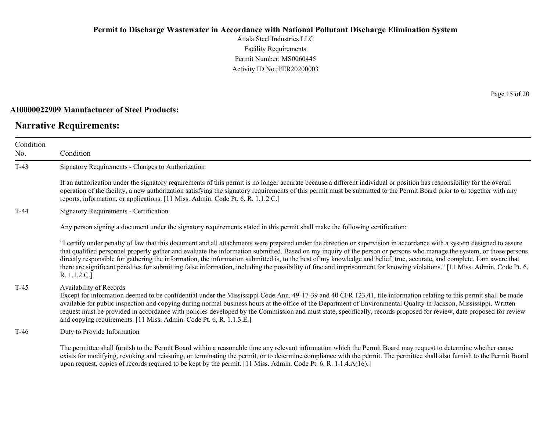Attala Steel Industries LLC Facility Requirements Permit Number: MS0060445 Activity ID No.:PER20200003

#### **AI0000022909 Manufacturer of Steel Products:**

## **Narrative Requirements:**

Page 15 of 20

| Condition<br>No. | Condition                                                                                                                                                                                                                                                                                                                                                                                                                                                                                                                                                                                                                                                                                                                |
|------------------|--------------------------------------------------------------------------------------------------------------------------------------------------------------------------------------------------------------------------------------------------------------------------------------------------------------------------------------------------------------------------------------------------------------------------------------------------------------------------------------------------------------------------------------------------------------------------------------------------------------------------------------------------------------------------------------------------------------------------|
| $T-43$           | Signatory Requirements - Changes to Authorization                                                                                                                                                                                                                                                                                                                                                                                                                                                                                                                                                                                                                                                                        |
|                  | If an authorization under the signatory requirements of this permit is no longer accurate because a different individual or position has responsibility for the overall<br>operation of the facility, a new authorization satisfying the signatory requirements of this permit must be submitted to the Permit Board prior to or together with any<br>reports, information, or applications. [11 Miss. Admin. Code Pt. 6, R. 1.1.2.C.]                                                                                                                                                                                                                                                                                   |
| $T-44$           | <b>Signatory Requirements - Certification</b>                                                                                                                                                                                                                                                                                                                                                                                                                                                                                                                                                                                                                                                                            |
|                  | Any person signing a document under the signatory requirements stated in this permit shall make the following certification:                                                                                                                                                                                                                                                                                                                                                                                                                                                                                                                                                                                             |
|                  | "I certify under penalty of law that this document and all attachments were prepared under the direction or supervision in accordance with a system designed to assure<br>that qualified personnel properly gather and evaluate the information submitted. Based on my inquiry of the person or persons who manage the system, or those persons<br>directly responsible for gathering the information, the information submitted is, to the best of my knowledge and belief, true, accurate, and complete. I am aware that<br>there are significant penalties for submitting false information, including the possibility of fine and imprisonment for knowing violations." [11 Miss. Admin. Code Pt. 6,<br>R. 1.1.2.C.] |
| $T-45$           | Availability of Records<br>Except for information deemed to be confidential under the Mississippi Code Ann. 49-17-39 and 40 CFR 123.41, file information relating to this permit shall be made<br>available for public inspection and copying during normal business hours at the office of the Department of Environmental Quality in Jackson, Mississippi. Written<br>request must be provided in accordance with policies developed by the Commission and must state, specifically, records proposed for review, date proposed for review<br>and copying requirements. [11 Miss. Admin. Code Pt. 6, R. 1.1.3.E.]                                                                                                      |
| $T-46$           | Duty to Provide Information                                                                                                                                                                                                                                                                                                                                                                                                                                                                                                                                                                                                                                                                                              |
|                  | The permittee shall furnish to the Permit Board within a reasonable time any relevant information which the Permit Board may request to determine whether cause<br>exists for modifying, revoking and reissuing, or terminating the permit, or to determine compliance with the permit. The permittee shall also furnish to the Permit Board<br>upon request, copies of records required to be kept by the permit. [11 Miss. Admin. Code Pt. 6, R. 1.1.4.A(16).]                                                                                                                                                                                                                                                         |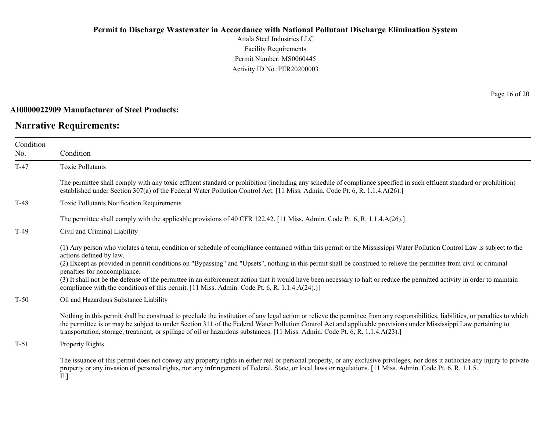Attala Steel Industries LLC Facility Requirements Permit Number: MS0060445 Activity ID No.:PER20200003

### **AI0000022909 Manufacturer of Steel Products:**

## **Narrative Requirements:**

Page 16 of 20

| Condition<br>No. | Condition                                                                                                                                                                                                                                                                                                                                                                                                                                                                                                                                                                                                                                                                            |
|------------------|--------------------------------------------------------------------------------------------------------------------------------------------------------------------------------------------------------------------------------------------------------------------------------------------------------------------------------------------------------------------------------------------------------------------------------------------------------------------------------------------------------------------------------------------------------------------------------------------------------------------------------------------------------------------------------------|
| $T-47$           | <b>Toxic Pollutants</b>                                                                                                                                                                                                                                                                                                                                                                                                                                                                                                                                                                                                                                                              |
|                  | The permittee shall comply with any toxic effluent standard or prohibition (including any schedule of compliance specified in such effluent standard or prohibition)<br>established under Section 307(a) of the Federal Water Pollution Control Act. [11 Miss. Admin. Code Pt. 6, R. 1.1.4.A(26).]                                                                                                                                                                                                                                                                                                                                                                                   |
| $T-48$           | Toxic Pollutants Notification Requirements                                                                                                                                                                                                                                                                                                                                                                                                                                                                                                                                                                                                                                           |
|                  | The permittee shall comply with the applicable provisions of 40 CFR 122.42. [11 Miss. Admin. Code Pt. 6, R. 1.1.4.A(26).]                                                                                                                                                                                                                                                                                                                                                                                                                                                                                                                                                            |
| $T-49$           | Civil and Criminal Liability                                                                                                                                                                                                                                                                                                                                                                                                                                                                                                                                                                                                                                                         |
|                  | (1) Any person who violates a term, condition or schedule of compliance contained within this permit or the Mississippi Water Pollution Control Law is subject to the<br>actions defined by law.<br>(2) Except as provided in permit conditions on "Bypassing" and "Upsets", nothing in this permit shall be construed to relieve the permittee from civil or criminal<br>penalties for noncompliance.<br>(3) It shall not be the defense of the permittee in an enforcement action that it would have been necessary to halt or reduce the permitted activity in order to maintain<br>compliance with the conditions of this permit. [11 Miss. Admin. Code Pt. 6, R. 1.1.4.A(24).)] |
| $T-50$           | Oil and Hazardous Substance Liability                                                                                                                                                                                                                                                                                                                                                                                                                                                                                                                                                                                                                                                |
|                  | Nothing in this permit shall be construed to preclude the institution of any legal action or relieve the permittee from any responsibilities, liabilities, or penalties to which<br>the permittee is or may be subject to under Section 311 of the Federal Water Pollution Control Act and applicable provisions under Mississippi Law pertaining to<br>transportation, storage, treatment, or spillage of oil or hazardous substances. [11 Miss. Admin. Code Pt. 6, R. 1.1.4.A(23).]                                                                                                                                                                                                |
| $T-51$           | Property Rights                                                                                                                                                                                                                                                                                                                                                                                                                                                                                                                                                                                                                                                                      |
|                  | The issuance of this permit does not convey any property rights in either real or personal property, or any exclusive privileges, nor does it authorize any injury to private<br>property or any invasion of personal rights, nor any infringement of Federal, State, or local laws or regulations. [11 Miss. Admin. Code Pt. 6, R. 1.1.5.                                                                                                                                                                                                                                                                                                                                           |

E.]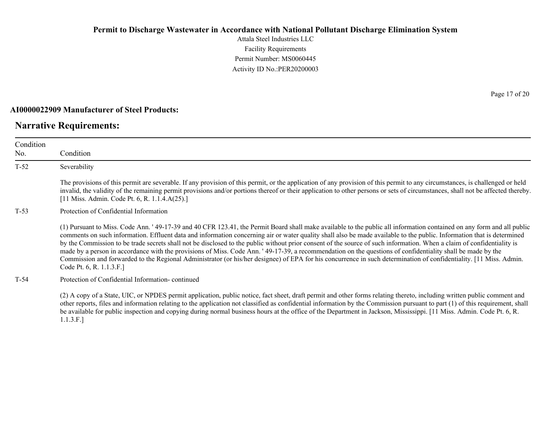Attala Steel Industries LLC Facility Requirements Permit Number: MS0060445 Activity ID No.:PER20200003

#### **AI0000022909 Manufacturer of Steel Products:**

### **Narrative Requirements:**

Condition No. Condition T-52 Severability The provisions of this permit are severable. If any provision of this permit, or the application of any provision of this permit to any circumstances, is challenged or held invalid, the validity of the remaining permit provisions and/or portions thereof or their application to other persons or sets of circumstances, shall not be affected thereby. [11 Miss. Admin. Code Pt. 6, R. 1.1.4.A(25).] T-53 Protection of Confidential Information (1) Pursuant to Miss. Code Ann. ' 49-17-39 and 40 CFR 123.41, the Permit Board shall make available to the public all information contained on any form and all public comments on such information. Effluent data and information concerning air or water quality shall also be made available to the public. Information that is determined by the Commission to be trade secrets shall not be disclosed to the public without prior consent of the source of such information. When a claim of confidentiality is made by a person in accordance with the provisions of Miss. Code Ann. ' 49-17-39, a recommendation on the questions of confidentiality shall be made by the Commission and forwarded to the Regional Administrator (or his/her designee) of EPA for his concurrence in such determination of confidentiality. [11 Miss. Admin. Code Pt. 6, R. 1.1.3.F.] T-54 Protection of Confidential Information- continued

(2) A copy of a State, UIC, or NPDES permit application, public notice, fact sheet, draft permit and other forms relating thereto, including written public comment and other reports, files and information relating to the application not classified as confidential information by the Commission pursuant to part (1) of this requirement, shall be available for public inspection and copying during normal business hours at the office of the Department in Jackson, Mississippi. [11 Miss. Admin. Code Pt. 6, R. 1.1.3.F.]

Page 17 of 20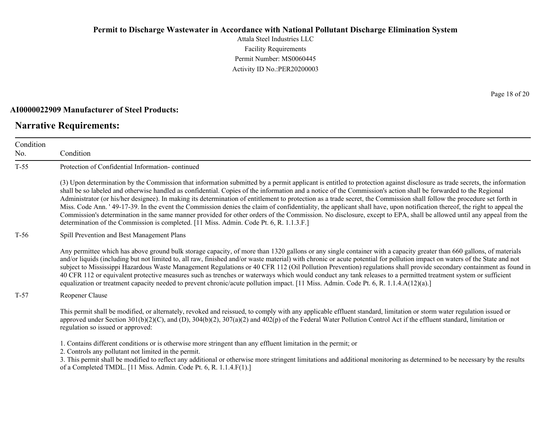Attala Steel Industries LLC Facility Requirements Permit Number: MS0060445 Activity ID No.:PER20200003

#### **AI0000022909 Manufacturer of Steel Products:**

### **Narrative Requirements:**

Condition No.

Condition T-55 Protection of Confidential Information- continued (3) Upon determination by the Commission that information submitted by a permit applicant is entitled to protection against disclosure as trade secrets, the information shall be so labeled and otherwise handled as confidential. Copies of the information and a notice of the Commission's action shall be forwarded to the Regional Administrator (or his/her designee). In making its determination of entitlement to protection as a trade secret, the Commission shall follow the procedure set forth in Miss. Code Ann. ' 49-17-39. In the event the Commission denies the claim of confidentiality, the applicant shall have, upon notification thereof, the right to appeal the Commission's determination in the same manner provided for other orders of the Commission. No disclosure, except to EPA, shall be allowed until any appeal from the determination of the Commission is completed. [11 Miss. Admin. Code Pt. 6, R. 1.1.3.F.] T-56 Spill Prevention and Best Management Plans Any permittee which has above ground bulk storage capacity, of more than 1320 gallons or any single container with a capacity greater than 660 gallons, of materials

and/or liquids (including but not limited to, all raw, finished and/or waste material) with chronic or acute potential for pollution impact on waters of the State and not subject to Mississippi Hazardous Waste Management Regulations or 40 CFR 112 (Oil Pollution Prevention) regulations shall provide secondary containment as found in 40 CFR 112 or equivalent protective measures such as trenches or waterways which would conduct any tank releases to a permitted treatment system or sufficient equalization or treatment capacity needed to prevent chronic/acute pollution impact. [11 Miss. Admin. Code Pt. 6, R. 1.1.4.A(12)(a).]

T-57 Reopener Clause

This permit shall be modified, or alternately, revoked and reissued, to comply with any applicable effluent standard, limitation or storm water regulation issued or approved under Section  $301(b)(2)(C)$ , and  $(D)$ ,  $304(b)(2)$ ,  $307(a)(2)$  and  $402(p)$  of the Federal Water Pollution Control Act if the effluent standard, limitation or regulation so issued or approved:

1. Contains different conditions or is otherwise more stringent than any effluent limitation in the permit; or

2. Controls any pollutant not limited in the permit.

3. This permit shall be modified to reflect any additional or otherwise more stringent limitations and additional monitoring as determined to be necessary by the results of a Completed TMDL. [11 Miss. Admin. Code Pt. 6, R. 1.1.4.F(1).]

Page 18 of 20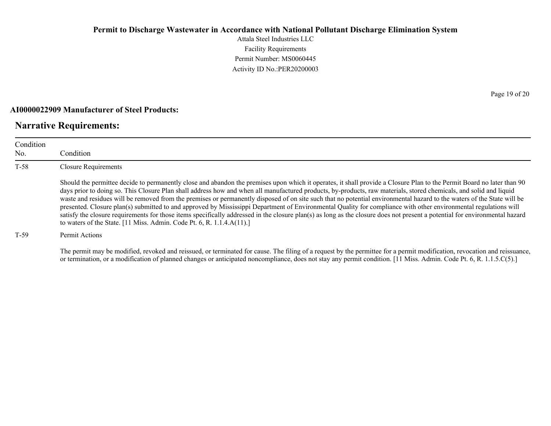Attala Steel Industries LLC Facility Requirements Permit Number: MS0060445 Activity ID No.:PER20200003

#### **AI0000022909 Manufacturer of Steel Products:**

### **Narrative Requirements:**

| Condition<br>No. | Condition                                                                                                                                                                                                                                                                                                                                                                                                                                                                                                                                                                                                                                                                                                                                                                                                                                                                                                                                          |
|------------------|----------------------------------------------------------------------------------------------------------------------------------------------------------------------------------------------------------------------------------------------------------------------------------------------------------------------------------------------------------------------------------------------------------------------------------------------------------------------------------------------------------------------------------------------------------------------------------------------------------------------------------------------------------------------------------------------------------------------------------------------------------------------------------------------------------------------------------------------------------------------------------------------------------------------------------------------------|
| $T-58$           | <b>Closure Requirements</b>                                                                                                                                                                                                                                                                                                                                                                                                                                                                                                                                                                                                                                                                                                                                                                                                                                                                                                                        |
|                  | Should the permittee decide to permanently close and abandon the premises upon which it operates, it shall provide a Closure Plan to the Permit Board no later than 90<br>days prior to doing so. This Closure Plan shall address how and when all manufactured products, by-products, raw materials, stored chemicals, and solid and liquid<br>waste and residues will be removed from the premises or permanently disposed of on site such that no potential environmental hazard to the waters of the State will be<br>presented. Closure plan(s) submitted to and approved by Mississippi Department of Environmental Quality for compliance with other environmental regulations will<br>satisfy the closure requirements for those items specifically addressed in the closure plan(s) as long as the closure does not present a potential for environmental hazard<br>to waters of the State. [11 Miss. Admin. Code Pt. 6, R. 1.1.4.A(11).] |
| $T-59$           | Permit Actions                                                                                                                                                                                                                                                                                                                                                                                                                                                                                                                                                                                                                                                                                                                                                                                                                                                                                                                                     |

The permit may be modified, revoked and reissued, or terminated for cause. The filing of a request by the permittee for a permit modification, revocation and reissuance, or termination, or a modification of planned changes or anticipated noncompliance, does not stay any permit condition. [11 Miss. Admin. Code Pt. 6, R. 1.1.5.C(5).]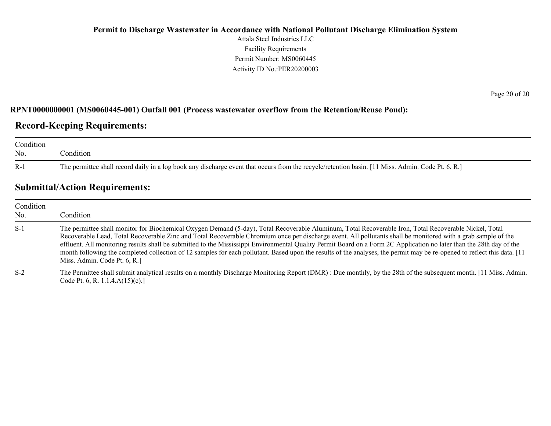### **Permit to Discharge Wastewater in Accordance with National Pollutant Discharge Elimination System**  Attala Steel Industries LLC Facility Requirements Permit Number: MS0060445 Activity ID No.:PER20200003

#### **RPNT0000000001 (MS0060445-001) Outfall 001 (Process wastewater overflow from the Retention/Reuse Pond):**

## **Record-Keeping Requirements:**

| Condition<br>No. | ondition                                                                                                                                          |
|------------------|---------------------------------------------------------------------------------------------------------------------------------------------------|
| - R-1            | The permittee shall record daily in a log book any discharge event that occurs from the recycle/retention basin. [11 Miss. Admin. Code Pt. 6, R.] |

## **Submittal/Action Requirements:**

| Condition<br>No. | Condition                                                                                                                                                                                                                                                                                                                                                                                                                                                                                                                                                                                                                                                                                                   |
|------------------|-------------------------------------------------------------------------------------------------------------------------------------------------------------------------------------------------------------------------------------------------------------------------------------------------------------------------------------------------------------------------------------------------------------------------------------------------------------------------------------------------------------------------------------------------------------------------------------------------------------------------------------------------------------------------------------------------------------|
| $S-1$            | The permittee shall monitor for Biochemical Oxygen Demand (5-day), Total Recoverable Aluminum, Total Recoverable Iron, Total Recoverable Nickel, Total<br>Recoverable Lead, Total Recoverable Zinc and Total Recoverable Chromium once per discharge event. All pollutants shall be monitored with a grab sample of the<br>effluent. All monitoring results shall be submitted to the Mississippi Environmental Quality Permit Board on a Form 2C Application no later than the 28th day of the<br>month following the completed collection of 12 samples for each pollutant. Based upon the results of the analyses, the permit may be re-opened to reflect this data. [11]<br>Miss. Admin. Code Pt. 6, R. |
| $S-2$            | The Permittee shall submit analytical results on a monthly Discharge Monitoring Report (DMR): Due monthly, by the 28th of the subsequent month. [11 Miss. Admin.<br>Code Pt. 6, R. 1.1.4. $A(15)(c)$ .]                                                                                                                                                                                                                                                                                                                                                                                                                                                                                                     |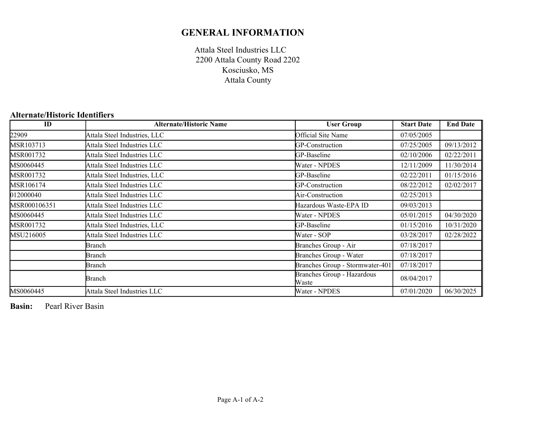## **GENERAL INFORMATION**

Attala Steel Industries LLC Kosciusko, MS Attala County 2200 Attala County Road 2202

### **Alternate/Historic Identifiers**

| ID           | <b>Alternate/Historic Name</b> | <b>User Group</b>                   | <b>Start Date</b> | <b>End Date</b> |
|--------------|--------------------------------|-------------------------------------|-------------------|-----------------|
| 22909        | Attala Steel Industries, LLC   | Official Site Name                  | 07/05/2005        |                 |
| MSR103713    | Attala Steel Industries LLC    | GP-Construction                     | 07/25/2005        | 09/13/2012      |
| MSR001732    | Attala Steel Industries LLC    | GP-Baseline                         | 02/10/2006        | 02/22/2011      |
| MS0060445    | Attala Steel Industries LLC    | Water - NPDES                       | 12/11/2009        | 11/30/2014      |
| MSR001732    | Attala Steel Industries, LLC   | GP-Baseline                         | 02/22/2011        | 01/15/2016      |
| MSR106174    | Attala Steel Industries LLC    | GP-Construction                     | 08/22/2012        | 02/02/2017      |
| 12000040     | Attala Steel Industries LLC    | Air-Construction                    | 02/25/2013        |                 |
| MSR000106351 | Attala Steel Industries LLC    | Hazardous Waste-EPA ID              | 09/03/2013        |                 |
| MS0060445    | Attala Steel Industries LLC    | Water - NPDES                       | 05/01/2015        | 04/30/2020      |
| MSR001732    | Attala Steel Industries, LLC   | GP-Baseline                         | 01/15/2016        | 10/31/2020      |
| MSU216005    | Attala Steel Industries LLC    | Water - SOP                         | 03/28/2017        | 02/28/2022      |
|              | Branch                         | Branches Group - Air                | 07/18/2017        |                 |
|              | Branch                         | Branches Group - Water              | 07/18/2017        |                 |
|              | Branch                         | Branches Group - Stormwater-401     | 07/18/2017        |                 |
|              | Branch                         | Branches Group - Hazardous<br>Waste | 08/04/2017        |                 |
| MS0060445    | Attala Steel Industries LLC    | Water - NPDES                       | 07/01/2020        | 06/30/2025      |

**Basin:** Pearl River Basin